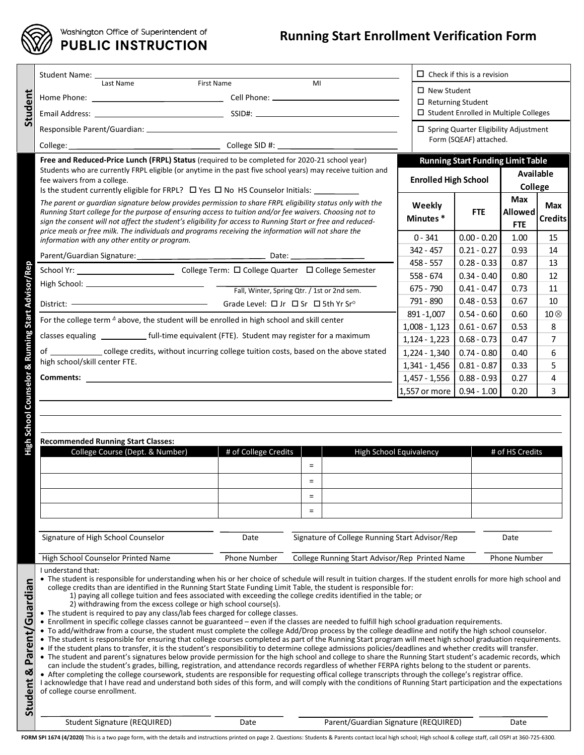

# Washington Office of Superintendent of<br>PUBLIC INSTRUCTION

## **Running Start Enrollment Verification Form**

|                                                                                                                                                                                                                                                                                                                     | Student Name: _______________                                                                                                                                                                                                                                                                                                                          |                                             |          |                                      |                                | $\Box$ Check if this is a revision           |                 |                       |  |
|---------------------------------------------------------------------------------------------------------------------------------------------------------------------------------------------------------------------------------------------------------------------------------------------------------------------|--------------------------------------------------------------------------------------------------------------------------------------------------------------------------------------------------------------------------------------------------------------------------------------------------------------------------------------------------------|---------------------------------------------|----------|--------------------------------------|--------------------------------|----------------------------------------------|-----------------|-----------------------|--|
|                                                                                                                                                                                                                                                                                                                     | First Name<br>Last Name<br>MI                                                                                                                                                                                                                                                                                                                          |                                             |          |                                      |                                | $\Box$ New Student                           |                 |                       |  |
|                                                                                                                                                                                                                                                                                                                     |                                                                                                                                                                                                                                                                                                                                                        |                                             |          |                                      |                                | $\Box$ Returning Student                     |                 |                       |  |
| Student                                                                                                                                                                                                                                                                                                             |                                                                                                                                                                                                                                                                                                                                                        |                                             |          |                                      |                                | $\Box$ Student Enrolled in Multiple Colleges |                 |                       |  |
|                                                                                                                                                                                                                                                                                                                     | □ Spring Quarter Eligibility Adjustment                                                                                                                                                                                                                                                                                                                |                                             |          |                                      |                                |                                              |                 |                       |  |
|                                                                                                                                                                                                                                                                                                                     |                                                                                                                                                                                                                                                                                                                                                        |                                             |          |                                      | Form (SQEAF) attached.         |                                              |                 |                       |  |
|                                                                                                                                                                                                                                                                                                                     | Free and Reduced-Price Lunch (FRPL) Status (required to be completed for 2020-21 school year)                                                                                                                                                                                                                                                          | <b>Running Start Funding Limit Table</b>    |          |                                      |                                |                                              |                 |                       |  |
|                                                                                                                                                                                                                                                                                                                     | Students who are currently FRPL eligible (or anytime in the past five school years) may receive tuition and<br>fee waivers from a college.                                                                                                                                                                                                             |                                             |          | <b>Enrolled High School</b>          |                                | Available                                    |                 |                       |  |
|                                                                                                                                                                                                                                                                                                                     | Is the student currently eligible for FRPL? $\Box$ Yes $\Box$ No HS Counselor Initials:                                                                                                                                                                                                                                                                |                                             |          |                                      |                                | College                                      |                 |                       |  |
|                                                                                                                                                                                                                                                                                                                     | The parent or quardian signature below provides permission to share FRPL eligibility status only with the                                                                                                                                                                                                                                              |                                             |          |                                      | Weekly                         |                                              | Max             | Max                   |  |
|                                                                                                                                                                                                                                                                                                                     | Running Start college for the purpose of ensuring access to tuition and/or fee waivers. Choosing not to                                                                                                                                                                                                                                                |                                             |          |                                      | Minutes*                       | <b>FTE</b>                                   | Allowed         | <b>Credits</b>        |  |
|                                                                                                                                                                                                                                                                                                                     | sign the consent will not affect the student's eligibility for access to Running Start or free and reduced-<br>price meals or free milk. The individuals and programs receiving the information will not share the<br>information with any other entity or program.                                                                                    |                                             |          |                                      |                                | <b>FTE</b>                                   |                 |                       |  |
|                                                                                                                                                                                                                                                                                                                     |                                                                                                                                                                                                                                                                                                                                                        |                                             |          | $0 - 341$                            | $0.00 - 0.20$                  | 1.00                                         | 15              |                       |  |
|                                                                                                                                                                                                                                                                                                                     |                                                                                                                                                                                                                                                                                                                                                        |                                             |          | $342 - 457$                          | $0.21 - 0.27$                  | 0.93                                         | 14              |                       |  |
| Rep                                                                                                                                                                                                                                                                                                                 |                                                                                                                                                                                                                                                                                                                                                        |                                             |          | 458 - 557                            | $0.28 - 0.33$                  | 0.87                                         | 13              |                       |  |
|                                                                                                                                                                                                                                                                                                                     |                                                                                                                                                                                                                                                                                                                                                        |                                             |          |                                      | $558 - 674$                    | $0.34 - 0.40$                                | 0.80            | 12                    |  |
| <b>Advisor</b>                                                                                                                                                                                                                                                                                                      |                                                                                                                                                                                                                                                                                                                                                        | Fall, Winter, Spring Qtr. / 1st or 2nd sem. |          |                                      | 675 - 790                      | $0.41 - 0.47$                                | 0.73            | 11                    |  |
|                                                                                                                                                                                                                                                                                                                     | For the college term <sup>4</sup> above, the student will be enrolled in high school and skill center<br>classes equaling __________________ full-time equivalent (FTE). Student may register for a maximum<br>of _______________ college credits, without incurring college tuition costs, based on the above stated<br>high school/skill center FTE. |                                             |          |                                      | 791 - 890<br>891-1,007         | $0.48 - 0.53$<br>$0.54 - 0.60$               | 0.67<br>0.60    | 10<br>$10 \, \otimes$ |  |
| <b>Running Start</b>                                                                                                                                                                                                                                                                                                |                                                                                                                                                                                                                                                                                                                                                        |                                             |          |                                      | $1,008 - 1,123$                | $0.61 - 0.67$                                | 0.53            | 8                     |  |
|                                                                                                                                                                                                                                                                                                                     |                                                                                                                                                                                                                                                                                                                                                        |                                             |          |                                      | $1,124 - 1,223$                | $0.68 - 0.73$                                | 0.47            | 7                     |  |
|                                                                                                                                                                                                                                                                                                                     |                                                                                                                                                                                                                                                                                                                                                        |                                             |          |                                      | $1,224 - 1,340$                | $0.74 - 0.80$                                | 0.40            | 6                     |  |
| ઌ                                                                                                                                                                                                                                                                                                                   |                                                                                                                                                                                                                                                                                                                                                        |                                             |          |                                      | 1,341 - 1,456                  | $0.81 - 0.87$                                | 0.33            | 5                     |  |
|                                                                                                                                                                                                                                                                                                                     |                                                                                                                                                                                                                                                                                                                                                        |                                             |          |                                      | 1,457 - 1,556                  | $0.88 - 0.93$                                | 0.27            | 4                     |  |
|                                                                                                                                                                                                                                                                                                                     |                                                                                                                                                                                                                                                                                                                                                        |                                             |          |                                      | 1,557 or more                  | $0.94 - 1.00$                                | 0.20            | 3                     |  |
| Counselor                                                                                                                                                                                                                                                                                                           |                                                                                                                                                                                                                                                                                                                                                        |                                             |          |                                      |                                |                                              |                 |                       |  |
|                                                                                                                                                                                                                                                                                                                     |                                                                                                                                                                                                                                                                                                                                                        |                                             |          |                                      |                                |                                              |                 |                       |  |
| School                                                                                                                                                                                                                                                                                                              |                                                                                                                                                                                                                                                                                                                                                        |                                             |          |                                      |                                |                                              |                 |                       |  |
| Fign                                                                                                                                                                                                                                                                                                                | <b>Recommended Running Start Classes:</b>                                                                                                                                                                                                                                                                                                              |                                             |          |                                      |                                |                                              |                 |                       |  |
|                                                                                                                                                                                                                                                                                                                     | College Course (Dept. & Number)                                                                                                                                                                                                                                                                                                                        | # of College Credits                        |          |                                      | <b>High School Equivalency</b> |                                              | # of HS Credits |                       |  |
|                                                                                                                                                                                                                                                                                                                     |                                                                                                                                                                                                                                                                                                                                                        |                                             | $=$      |                                      |                                |                                              |                 |                       |  |
|                                                                                                                                                                                                                                                                                                                     |                                                                                                                                                                                                                                                                                                                                                        |                                             | $=$      |                                      |                                |                                              |                 |                       |  |
|                                                                                                                                                                                                                                                                                                                     |                                                                                                                                                                                                                                                                                                                                                        |                                             | $\equiv$ |                                      |                                |                                              |                 |                       |  |
|                                                                                                                                                                                                                                                                                                                     |                                                                                                                                                                                                                                                                                                                                                        |                                             | $\equiv$ |                                      |                                |                                              |                 |                       |  |
|                                                                                                                                                                                                                                                                                                                     |                                                                                                                                                                                                                                                                                                                                                        |                                             |          |                                      |                                |                                              |                 |                       |  |
|                                                                                                                                                                                                                                                                                                                     | Signature of High School Counselor<br>Signature of College Running Start Advisor/Rep<br>Date<br>Date<br>High School Counselor Printed Name<br><b>Phone Number</b><br>College Running Start Advisor/Rep Printed Name<br><b>Phone Number</b>                                                                                                             |                                             |          |                                      |                                |                                              |                 |                       |  |
|                                                                                                                                                                                                                                                                                                                     |                                                                                                                                                                                                                                                                                                                                                        |                                             |          |                                      |                                |                                              |                 |                       |  |
|                                                                                                                                                                                                                                                                                                                     | I understand that:                                                                                                                                                                                                                                                                                                                                     |                                             |          |                                      |                                |                                              |                 |                       |  |
| • The student is responsible for understanding when his or her choice of schedule will result in tuition charges. If the student enrolls for more high school and<br>college credits than are identified in the Running Start State Funding Limit Table, the student is responsible for:                            |                                                                                                                                                                                                                                                                                                                                                        |                                             |          |                                      |                                |                                              |                 |                       |  |
|                                                                                                                                                                                                                                                                                                                     | 1) paying all college tuition and fees associated with exceeding the college credits identified in the table; or                                                                                                                                                                                                                                       |                                             |          |                                      |                                |                                              |                 |                       |  |
|                                                                                                                                                                                                                                                                                                                     | 2) withdrawing from the excess college or high school course(s).<br>• The student is required to pay any class/lab fees charged for college classes.                                                                                                                                                                                                   |                                             |          |                                      |                                |                                              |                 |                       |  |
|                                                                                                                                                                                                                                                                                                                     | • Enrollment in specific college classes cannot be guaranteed - even if the classes are needed to fulfill high school graduation requirements.<br>• To add/withdraw from a course, the student must complete the college Add/Drop process by the college deadline and notify the high school counselor.                                                |                                             |          |                                      |                                |                                              |                 |                       |  |
|                                                                                                                                                                                                                                                                                                                     | • The student is responsible for ensuring that college courses completed as part of the Running Start program will meet high school graduation requirements.                                                                                                                                                                                           |                                             |          |                                      |                                |                                              |                 |                       |  |
| Parent/Guardian                                                                                                                                                                                                                                                                                                     | • If the student plans to transfer, it is the student's responsibilitiy to determine college admissions policies/deadlines and whether credits will transfer.                                                                                                                                                                                          |                                             |          |                                      |                                |                                              |                 |                       |  |
| • The student and parent's signatures below provide permission for the high school and college to share the Running Start student's academic records, which<br>can include the student's grades, billing, registration, and attendance records regardless of whether FERPA rights belong to the student or parents. |                                                                                                                                                                                                                                                                                                                                                        |                                             |          |                                      |                                |                                              |                 |                       |  |
|                                                                                                                                                                                                                                                                                                                     | • After completing the college coursework, students are responsible for requesting offical college transcripts through the college's registrar office.<br>I acknowledge that I have read and understand both sides of this form, and will comply with the conditions of Running Start participation and the expectations                               |                                             |          |                                      |                                |                                              |                 |                       |  |
|                                                                                                                                                                                                                                                                                                                     | of college course enrollment.                                                                                                                                                                                                                                                                                                                          |                                             |          |                                      |                                |                                              |                 |                       |  |
| Student &                                                                                                                                                                                                                                                                                                           |                                                                                                                                                                                                                                                                                                                                                        |                                             |          |                                      |                                |                                              |                 |                       |  |
|                                                                                                                                                                                                                                                                                                                     | <b>Student Signature (REQUIRED)</b>                                                                                                                                                                                                                                                                                                                    | Date                                        |          | Parent/Guardian Signature (REQUIRED) |                                |                                              | Date            |                       |  |